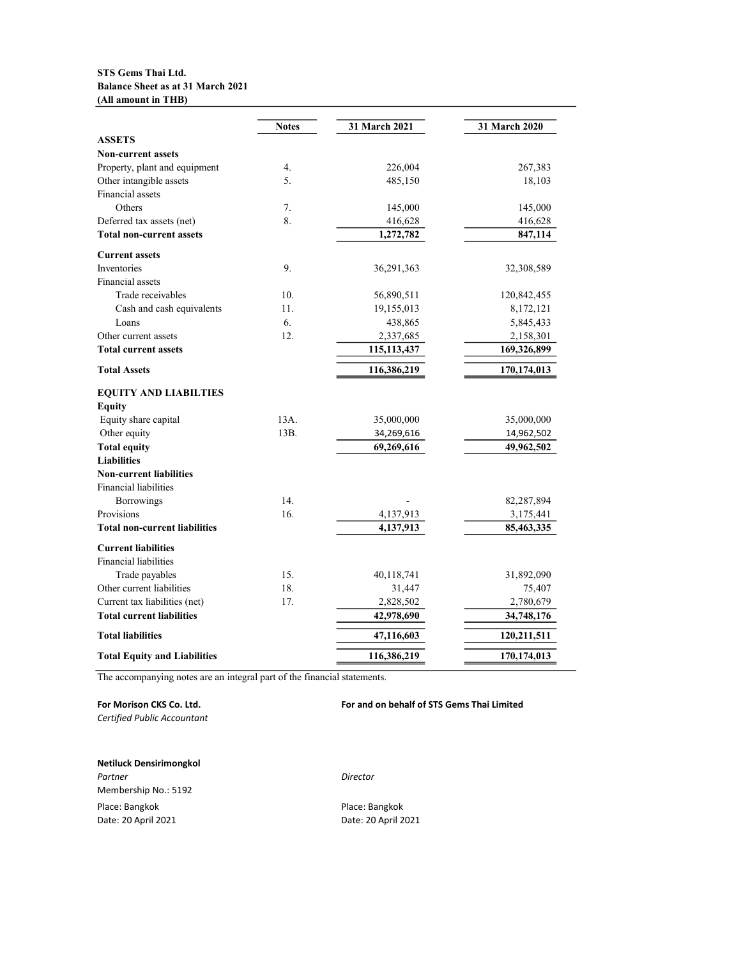## STS Gems Thai Ltd. Balance Sheet as at 31 March 2021 (All amount in THB)

|                                      | <b>Notes</b> | 31 March 2021 | 31 March 2020 |
|--------------------------------------|--------------|---------------|---------------|
| <b>ASSETS</b>                        |              |               |               |
| <b>Non-current assets</b>            |              |               |               |
| Property, plant and equipment        | 4.           | 226,004       | 267,383       |
| Other intangible assets              | 5.           | 485,150       | 18,103        |
| Financial assets                     |              |               |               |
| Others                               | 7.           | 145,000       | 145,000       |
| Deferred tax assets (net)            | 8.           | 416,628       | 416,628       |
| <b>Total non-current assets</b>      |              | 1,272,782     | 847,114       |
| <b>Current assets</b>                |              |               |               |
| <b>Inventories</b>                   | 9.           | 36,291,363    | 32,308,589    |
| Financial assets                     |              |               |               |
| Trade receivables                    | 10.          | 56,890,511    | 120,842,455   |
| Cash and cash equivalents            | 11.          | 19,155,013    | 8,172,121     |
| Loans                                | 6.           | 438,865       | 5,845,433     |
| Other current assets                 | 12.          | 2,337,685     | 2,158,301     |
| <b>Total current assets</b>          |              | 115,113,437   | 169,326,899   |
| <b>Total Assets</b>                  |              | 116,386,219   | 170,174,013   |
| <b>EQUITY AND LIABILTIES</b>         |              |               |               |
| <b>Equity</b>                        |              |               |               |
| Equity share capital                 | 13A.         | 35,000,000    | 35,000,000    |
| Other equity                         | 13B.         | 34,269,616    | 14,962,502    |
| <b>Total equity</b>                  |              | 69,269,616    | 49,962,502    |
| <b>Liabilities</b>                   |              |               |               |
| <b>Non-current liabilities</b>       |              |               |               |
| Financial liabilities                |              |               |               |
| Borrowings                           | 14.          |               | 82,287,894    |
| Provisions                           | 16.          | 4,137,913     | 3,175,441     |
| <b>Total non-current liabilities</b> |              | 4,137,913     | 85,463,335    |
| <b>Current liabilities</b>           |              |               |               |
| Financial liabilities                |              |               |               |
| Trade payables                       | 15.          | 40,118,741    | 31,892,090    |
| Other current liabilities            | 18.          | 31,447        | 75,407        |
| Current tax liabilities (net)        | 17.          | 2,828,502     | 2,780,679     |
| <b>Total current liabilities</b>     |              | 42,978,690    | 34,748,176    |
| <b>Total liabilities</b>             |              | 47,116,603    | 120,211,511   |
| <b>Total Equity and Liabilities</b>  |              | 116,386,219   | 170,174,013   |
|                                      |              |               |               |

The accompanying notes are an integral part of the financial statements.

# For Morison CKS Co. Ltd. **For and on behalf of STS Gems Thai Limited**

Certified Public Accountant

Netiluck Densirimongkol Partner Director Membership No.: 5192 Place: Bangkok Place: Bangkok

Date: 20 April 2021 Date: 20 April 2021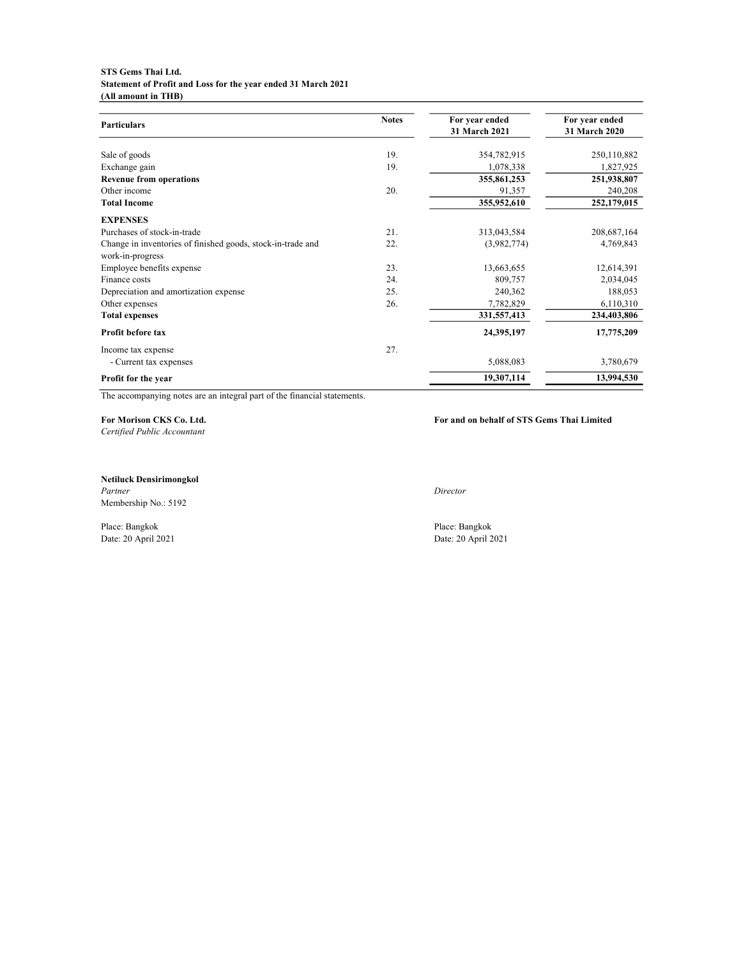#### STS Gems Thai Ltd. Statement of Profit and Loss for the year ended 31 March 2021 (All amount in THB)

| <b>Particulars</b>                                          | <b>Notes</b> | For year ended<br>31 March 2021 | For year ended<br>31 March 2020 |
|-------------------------------------------------------------|--------------|---------------------------------|---------------------------------|
| Sale of goods                                               | 19.          | 354,782,915                     | 250,110,882                     |
| Exchange gain                                               | 19.          | 1,078,338                       | 1,827,925                       |
| <b>Revenue from operations</b>                              |              | 355,861,253                     | 251,938,807                     |
| Other income                                                | 20.          | 91,357                          | 240,208                         |
| <b>Total Income</b>                                         |              | 355,952,610                     | 252,179,015                     |
| <b>EXPENSES</b>                                             |              |                                 |                                 |
| Purchases of stock-in-trade                                 | 21.          | 313,043,584                     | 208,687,164                     |
| Change in inventories of finished goods, stock-in-trade and | 22.          | (3,982,774)                     | 4,769,843                       |
| work-in-progress                                            |              |                                 |                                 |
| Employee benefits expense                                   | 23.          | 13,663,655                      | 12,614,391                      |
| Finance costs                                               | 24.          | 809,757                         | 2,034,045                       |
| Depreciation and amortization expense                       | 25.          | 240,362                         | 188,053                         |
| Other expenses                                              | 26.          | 7,782,829                       | 6,110,310                       |
| <b>Total expenses</b>                                       |              | 331,557,413                     | 234,403,806                     |
| Profit before tax                                           |              | 24,395,197                      | 17,775,209                      |
| Income tax expense                                          | 27.          |                                 |                                 |
| - Current tax expenses                                      |              | 5,088,083                       | 3,780,679                       |
| Profit for the year                                         |              | 19,307,114                      | 13,994,530                      |

The accompanying notes are an integral part of the financial statements.

Certified Public Accountant

## For Morison CKS Co. Ltd. For and on behalf of STS Gems Thai Limited

Netiluck Densirimongkol Partner Director Membership No.: 5192

Place: Bangkok Place: Bangkok

Date: 20 April 2021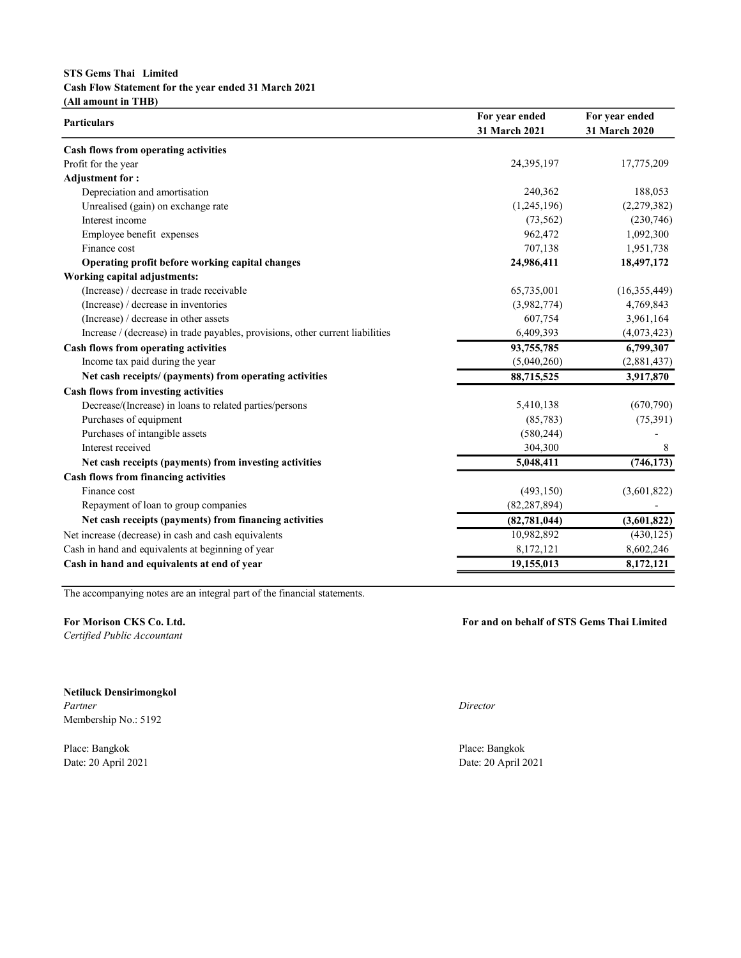## STS Gems Thai Limited Cash Flow Statement for the year ended 31 March 2021 (All amount in THB)

|                                                                                | For year ended | For year ended |  |
|--------------------------------------------------------------------------------|----------------|----------------|--|
| <b>Particulars</b>                                                             | 31 March 2021  | 31 March 2020  |  |
| Cash flows from operating activities                                           |                |                |  |
| Profit for the year                                                            | 24,395,197     | 17,775,209     |  |
| <b>Adjustment for:</b>                                                         |                |                |  |
| Depreciation and amortisation                                                  | 240,362        | 188,053        |  |
| Unrealised (gain) on exchange rate                                             | (1,245,196)    | (2,279,382)    |  |
| Interest income                                                                | (73, 562)      | (230,746)      |  |
| Employee benefit expenses                                                      | 962,472        | 1,092,300      |  |
| Finance cost                                                                   | 707,138        | 1,951,738      |  |
| Operating profit before working capital changes                                | 24,986,411     | 18,497,172     |  |
| Working capital adjustments:                                                   |                |                |  |
| (Increase) / decrease in trade receivable                                      | 65,735,001     | (16,355,449)   |  |
| (Increase) / decrease in inventories                                           | (3,982,774)    | 4,769,843      |  |
| (Increase) / decrease in other assets                                          | 607,754        | 3,961,164      |  |
| Increase / (decrease) in trade payables, provisions, other current liabilities | 6,409,393      | (4,073,423)    |  |
| Cash flows from operating activities                                           | 93,755,785     | 6,799,307      |  |
| Income tax paid during the year                                                | (5,040,260)    | (2,881,437)    |  |
| Net cash receipts/ (payments) from operating activities                        | 88,715,525     | 3,917,870      |  |
| <b>Cash flows from investing activities</b>                                    |                |                |  |
| Decrease/(Increase) in loans to related parties/persons                        | 5,410,138      | (670, 790)     |  |
| Purchases of equipment                                                         | (85, 783)      | (75, 391)      |  |
| Purchases of intangible assets                                                 | (580, 244)     |                |  |
| Interest received                                                              | 304,300        | 8              |  |
| Net cash receipts (payments) from investing activities                         | 5,048,411      | (746, 173)     |  |
| Cash flows from financing activities                                           |                |                |  |
| Finance cost                                                                   | (493, 150)     | (3,601,822)    |  |
| Repayment of loan to group companies                                           | (82, 287, 894) |                |  |
| Net cash receipts (payments) from financing activities                         | (82, 781, 044) | (3,601,822)    |  |
| Net increase (decrease) in cash and cash equivalents                           | 10,982,892     | (430, 125)     |  |
| Cash in hand and equivalents at beginning of year                              | 8,172,121      | 8,602,246      |  |
| Cash in hand and equivalents at end of year                                    | 19,155,013     | 8,172,121      |  |
|                                                                                |                |                |  |

The accompanying notes are an integral part of the financial statements.

Certified Public Accountant

Netiluck Densirimongkol Partner Director Membership No.: 5192

Place: Bangkok Place: Bangkok

For Morison CKS Co. Ltd. **For and on behalf of STS Gems Thai Limited** 

Date: 20 April 2021 Date: 20 April 2021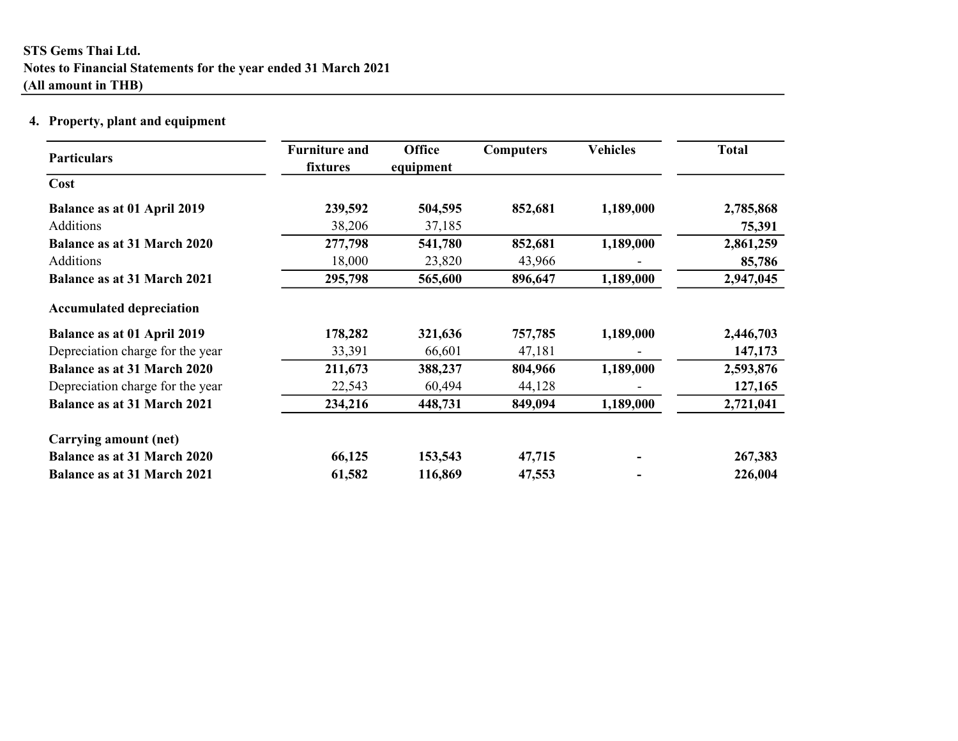# 4. Property, plant and equipment

| <b>Particulars</b>                 | <b>Furniture and</b><br>fixtures | <b>Office</b><br>equipment | <b>Computers</b> | <b>Vehicles</b> | <b>Total</b> |
|------------------------------------|----------------------------------|----------------------------|------------------|-----------------|--------------|
| Cost                               |                                  |                            |                  |                 |              |
| Balance as at 01 April 2019        | 239,592                          | 504,595                    | 852,681          | 1,189,000       | 2,785,868    |
| Additions                          | 38,206                           | 37,185                     |                  |                 | 75,391       |
| <b>Balance as at 31 March 2020</b> | 277,798                          | 541,780                    | 852,681          | 1,189,000       | 2,861,259    |
| Additions                          | 18,000                           | 23,820                     | 43,966           |                 | 85,786       |
| <b>Balance as at 31 March 2021</b> | 295,798                          | 565,600                    | 896,647          | 1,189,000       | 2,947,045    |
| <b>Accumulated depreciation</b>    |                                  |                            |                  |                 |              |
| <b>Balance as at 01 April 2019</b> | 178,282                          | 321,636                    | 757,785          | 1,189,000       | 2,446,703    |
| Depreciation charge for the year   | 33,391                           | 66,601                     | 47,181           |                 | 147,173      |
| <b>Balance as at 31 March 2020</b> | 211,673                          | 388,237                    | 804,966          | 1,189,000       | 2,593,876    |
| Depreciation charge for the year   | 22,543                           | 60,494                     | 44,128           |                 | 127,165      |
| <b>Balance as at 31 March 2021</b> | 234,216                          | 448,731                    | 849,094          | 1,189,000       | 2,721,041    |
| Carrying amount (net)              |                                  |                            |                  |                 |              |
| <b>Balance as at 31 March 2020</b> | 66,125                           | 153,543                    | 47,715           |                 | 267,383      |
| <b>Balance as at 31 March 2021</b> | 61,582                           | 116,869                    | 47,553           |                 | 226,004      |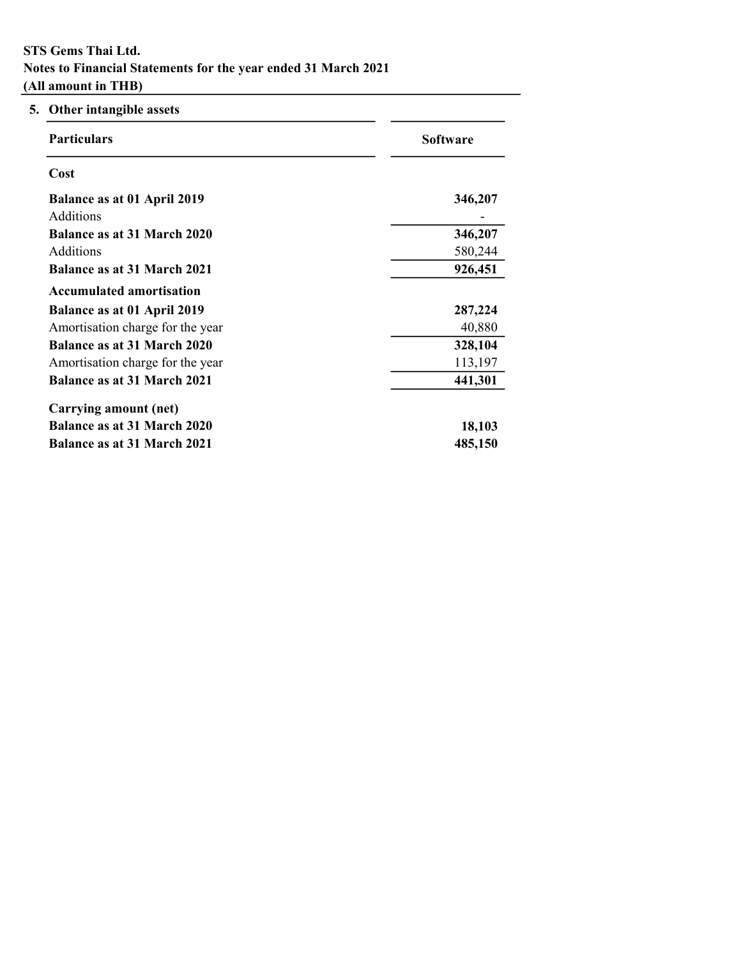| Other intangible assets<br>5.      |                 |
|------------------------------------|-----------------|
| <b>Particulars</b>                 | <b>Software</b> |
| Cost                               |                 |
| Balance as at 01 April 2019        | 346,207         |
| <b>Additions</b>                   |                 |
| Balance as at 31 March 2020        | 346,207         |
| Additions                          | 580,244         |
| <b>Balance as at 31 March 2021</b> | 926,451         |
| <b>Accumulated amortisation</b>    |                 |
| Balance as at 01 April 2019        | 287,224         |
| Amortisation charge for the year   | 40,880          |
| <b>Balance as at 31 March 2020</b> | 328,104         |
| Amortisation charge for the year   | 113,197         |
| <b>Balance as at 31 March 2021</b> | 441,301         |
| Carrying amount (net)              |                 |
| <b>Balance as at 31 March 2020</b> | 18,103          |
| <b>Balance as at 31 March 2021</b> | 485,150         |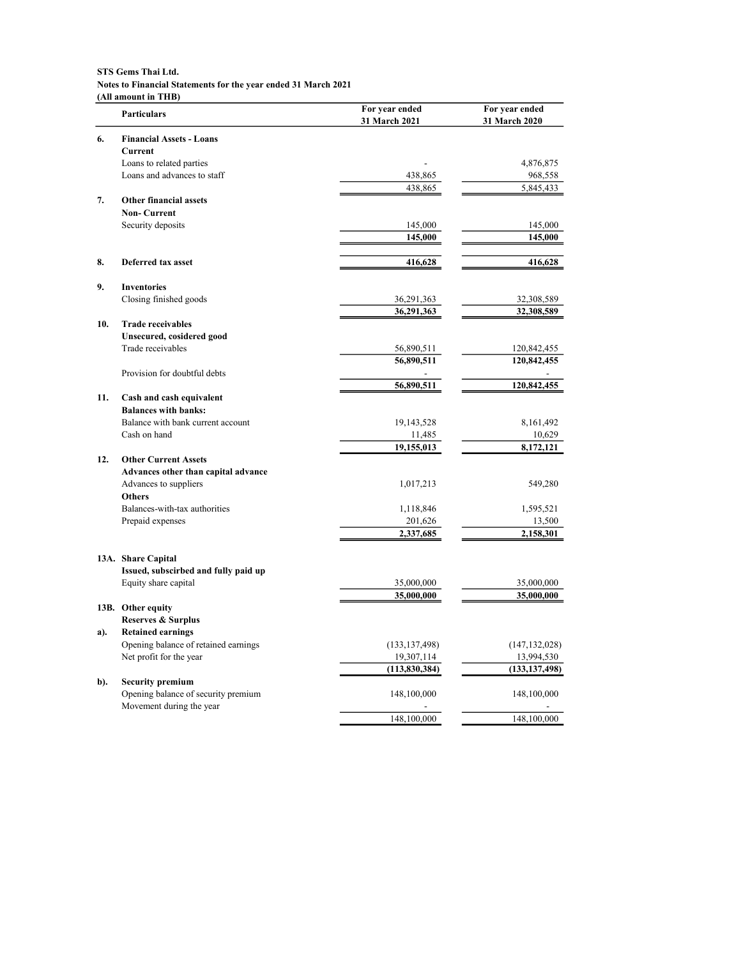|     | <b>Particulars</b>                         | For year ended<br>31 March 2021 | For year ended<br>31 March 2020 |
|-----|--------------------------------------------|---------------------------------|---------------------------------|
| 6.  | <b>Financial Assets - Loans</b><br>Current |                                 |                                 |
|     | Loans to related parties                   |                                 | 4,876,875                       |
|     | Loans and advances to staff                | 438,865                         | 968,558                         |
|     |                                            | 438,865                         | 5,845,433                       |
| 7.  | <b>Other financial assets</b>              |                                 |                                 |
|     | <b>Non-Current</b>                         |                                 |                                 |
|     | Security deposits                          | 145,000                         | 145,000                         |
|     |                                            | 145,000                         | 145,000                         |
|     |                                            |                                 |                                 |
| 8.  | Deferred tax asset                         | 416,628                         | 416,628                         |
| 9.  | <b>Inventories</b>                         |                                 |                                 |
|     | Closing finished goods                     | 36,291,363                      | 32,308,589                      |
|     |                                            | 36,291,363                      | 32,308,589                      |
| 10. | <b>Trade receivables</b>                   |                                 |                                 |
|     | Unsecured, cosidered good                  |                                 |                                 |
|     | Trade receivables                          | 56,890,511<br>56,890,511        | 120,842,455<br>120,842,455      |
|     | Provision for doubtful debts               |                                 |                                 |
|     |                                            | 56,890,511                      | 120,842,455                     |
| 11. | Cash and cash equivalent                   |                                 |                                 |
|     | <b>Balances with banks:</b>                |                                 |                                 |
|     | Balance with bank current account          | 19, 143, 528                    | 8,161,492                       |
|     | Cash on hand                               | 11,485                          | 10,629                          |
|     |                                            | 19,155,013                      | 8,172,121                       |
| 12. | <b>Other Current Assets</b>                |                                 |                                 |
|     | Advances other than capital advance        |                                 |                                 |
|     | Advances to suppliers                      | 1,017,213                       | 549,280                         |
|     | <b>Others</b>                              |                                 |                                 |
|     | Balances-with-tax authorities              | 1,118,846                       | 1,595,521                       |
|     | Prepaid expenses                           | 201,626                         | 13,500                          |
|     |                                            | 2,337,685                       | 2,158,301                       |
|     | 13A. Share Capital                         |                                 |                                 |
|     | Issued, subscirbed and fully paid up       |                                 |                                 |
|     | Equity share capital                       | 35,000,000                      | 35,000,000                      |
|     |                                            | 35,000,000                      | 35,000,000                      |
|     | 13B. Other equity                          |                                 |                                 |
|     | <b>Reserves &amp; Surplus</b>              |                                 |                                 |
| a). | <b>Retained earnings</b>                   |                                 |                                 |
|     | Opening balance of retained earnings       | (133, 137, 498)                 | (147, 132, 028)                 |
|     | Net profit for the year                    | 19,307,114                      | 13,994,530                      |
| b). | <b>Security premium</b>                    | (113, 830, 384)                 | (133, 137, 498)                 |
|     | Opening balance of security premium        | 148,100,000                     | 148,100,000                     |
|     | Movement during the year                   |                                 |                                 |
|     |                                            | 148,100,000                     | 148,100,000                     |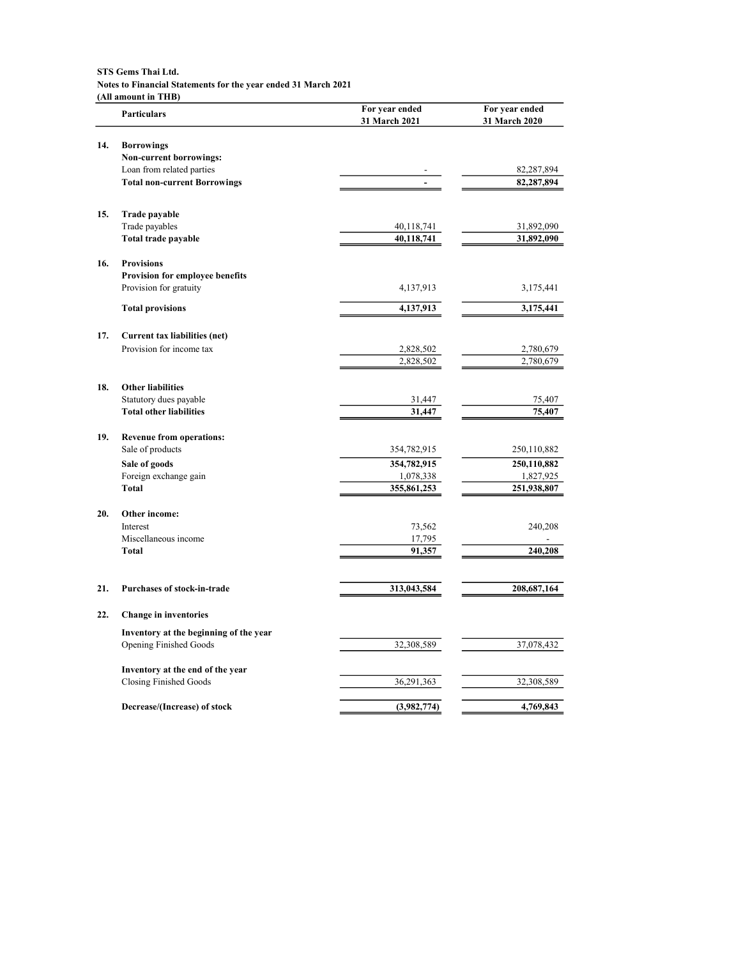|     | VIII amount in THD<br><b>Particulars</b>                  | For year ended<br>31 March 2021 | For year ended<br>31 March 2020 |
|-----|-----------------------------------------------------------|---------------------------------|---------------------------------|
| 14. | <b>Borrowings</b>                                         |                                 |                                 |
|     | Non-current borrowings:                                   |                                 |                                 |
|     | Loan from related parties                                 |                                 | 82,287,894                      |
|     | <b>Total non-current Borrowings</b>                       |                                 | 82,287,894                      |
|     |                                                           |                                 |                                 |
| 15. | Trade payable                                             |                                 |                                 |
|     | Trade payables                                            | 40,118,741                      | 31,892,090                      |
|     | Total trade payable                                       | 40,118,741                      | 31,892,090                      |
| 16. | <b>Provisions</b>                                         |                                 |                                 |
|     | Provision for employee benefits                           |                                 |                                 |
|     | Provision for gratuity                                    | 4,137,913                       | 3,175,441                       |
|     | <b>Total provisions</b>                                   | 4,137,913                       | 3,175,441                       |
|     |                                                           |                                 |                                 |
| 17. | Current tax liabilities (net)<br>Provision for income tax | 2,828,502                       | 2,780,679                       |
|     |                                                           | 2,828,502                       | 2,780,679                       |
|     |                                                           |                                 |                                 |
| 18. | <b>Other liabilities</b>                                  |                                 |                                 |
|     | Statutory dues payable                                    | 31,447                          | 75,407                          |
|     | <b>Total other liabilities</b>                            | 31,447                          | 75,407                          |
| 19. | <b>Revenue from operations:</b>                           |                                 |                                 |
|     | Sale of products                                          | 354,782,915                     | 250,110,882                     |
|     | Sale of goods                                             | 354,782,915                     | 250,110,882                     |
|     | Foreign exchange gain                                     | 1,078,338                       | 1,827,925                       |
|     | <b>Total</b>                                              | 355,861,253                     | 251,938,807                     |
| 20. | Other income:                                             |                                 |                                 |
|     | Interest                                                  | 73,562                          | 240,208                         |
|     | Miscellaneous income                                      | 17,795                          |                                 |
|     | <b>Total</b>                                              | 91,357                          | 240,208                         |
|     |                                                           |                                 |                                 |
| 21. | <b>Purchases of stock-in-trade</b>                        | 313,043,584                     | 208, 687, 164                   |
| 22. | <b>Change in inventories</b>                              |                                 |                                 |
|     | Inventory at the beginning of the year                    |                                 |                                 |
|     | <b>Opening Finished Goods</b>                             | 32,308,589                      | 37,078,432                      |
|     |                                                           |                                 |                                 |
|     | Inventory at the end of the year                          |                                 |                                 |
|     | <b>Closing Finished Goods</b>                             | 36,291,363                      | 32,308,589                      |
|     | Decrease/(Increase) of stock                              | (3,982,774)                     | 4,769,843                       |